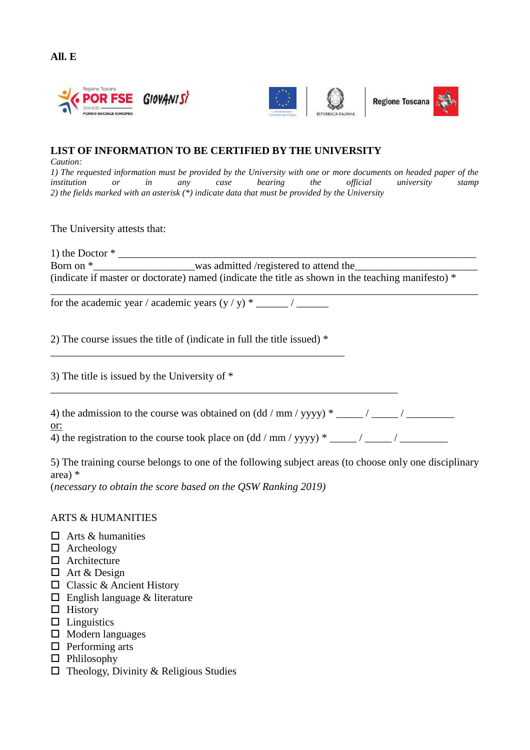





## **LIST OF INFORMATION TO BE CERTIFIED BY THE UNIVERSITY**

*Caution:*

*1) The requested information must be provided by the University with one or more documents on headed paper of the institution or in any case bearing the official university stamp 2) the fields marked with an asterisk (\*) indicate data that must be provided by the University* 

The University attests that:

1) the Doctor  $*$ Born on  $*$  Was admitted /registered to attend the (indicate if master or doctorate) named (indicate the title as shown in the teaching manifesto)  $*$ 

\_\_\_\_\_\_\_\_\_\_\_\_\_\_\_\_\_\_\_\_\_\_\_\_\_\_\_\_\_\_\_\_\_\_\_\_\_\_\_\_\_\_\_\_\_\_\_\_\_\_\_\_\_\_\_\_\_\_\_\_\_\_\_\_\_\_\_\_\_\_\_\_\_\_\_\_\_\_\_\_ for the academic year / academic years (y / y) \* \_\_\_\_\_\_ / \_\_\_\_\_\_

2) The course issues the title of (indicate in full the title issued) \*

\_\_\_\_\_\_\_\_\_\_\_\_\_\_\_\_\_\_\_\_\_\_\_\_\_\_\_\_\_\_\_\_\_\_\_\_\_\_\_\_\_\_\_\_\_\_\_\_\_\_\_\_\_\_\_

3) The title is issued by the University of \*

| 4) the admission to the course was obtained on $(dd/$ mm $/$ yyyy) $*$ _____ $/$ _____ $/$ |  |
|--------------------------------------------------------------------------------------------|--|
| or:                                                                                        |  |

\_\_\_\_\_\_\_\_\_\_\_\_\_\_\_\_\_\_\_\_\_\_\_\_\_\_\_\_\_\_\_\_\_\_\_\_\_\_\_\_\_\_\_\_\_\_\_\_\_\_\_\_\_\_\_\_\_\_\_\_\_\_\_\_\_

4) the registration to the course took place on  $(dd/mm/yyyy) * \underline{\hspace{2cm}}/ \underline{\hspace{2cm}}/$ 

5) The training course belongs to one of the following subject areas (to choose only one disciplinary area) \*

(*necessary to obtain the score based on the QSW Ranking 2019)*

## ARTS & HUMANITIES

- $\Box$  Arts & humanities
- Archeology
- □ Architecture
- □ Art & Design
- □ Classic & Ancient History
- English language & literature
- $\Box$  History
- $\square$  Linguistics
- $\square$  Modern languages
- $\Box$  Performing arts
- □ Phlilosophy
- $\Box$  Theology, Divinity & Religious Studies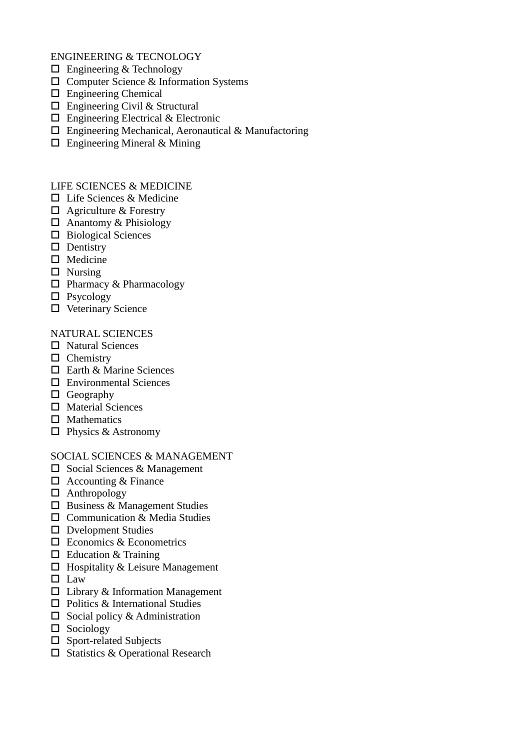ENGINEERING & TECNOLOGY

- □ Engineering & Technology
- □ Computer Science & Information Systems
- Engineering Chemical
- □ Engineering Civil & Structural
- $\Box$  Engineering Electrical & Electronic
- Engineering Mechanical, Aeronautical & Manufactoring
- □ Engineering Mineral & Mining

LIFE SCIENCES & MEDICINE

- □ Life Sciences & Medicine
- $\Box$  Agriculture & Forestry
- $\Box$  Anantomy & Phisiology
- □ Biological Sciences
- $\square$  Dentistry
- $\Box$  Medicine
- $\Box$  Nursing
- $\Box$  Pharmacy & Pharmacology
- □ Psycology
- $\Box$  Veterinary Science

## NATURAL SCIENCES

- □ Natural Sciences
- $\Box$  Chemistry
- □ Earth & Marine Sciences
- □ Environmental Sciences
- $\Box$  Geography
- $\Box$  Material Sciences
- $\square$  Mathematics
- □ Physics & Astronomy

SOCIAL SCIENCES & MANAGEMENT

- □ Social Sciences & Management
- □ Accounting & Finance
- Anthropology
- □ Business & Management Studies
- □ Communication & Media Studies
- D Dvelopment Studies
- □ Economics & Econometrics
- $\Box$  Education & Training
- $\Box$  Hospitality & Leisure Management
- $\square$  Law
- $\Box$  Library & Information Management
- □ Politics & International Studies
- $\square$  Social policy & Administration
- $\Box$  Sociology
- □ Sport-related Subjects
- □ Statistics & Operational Research